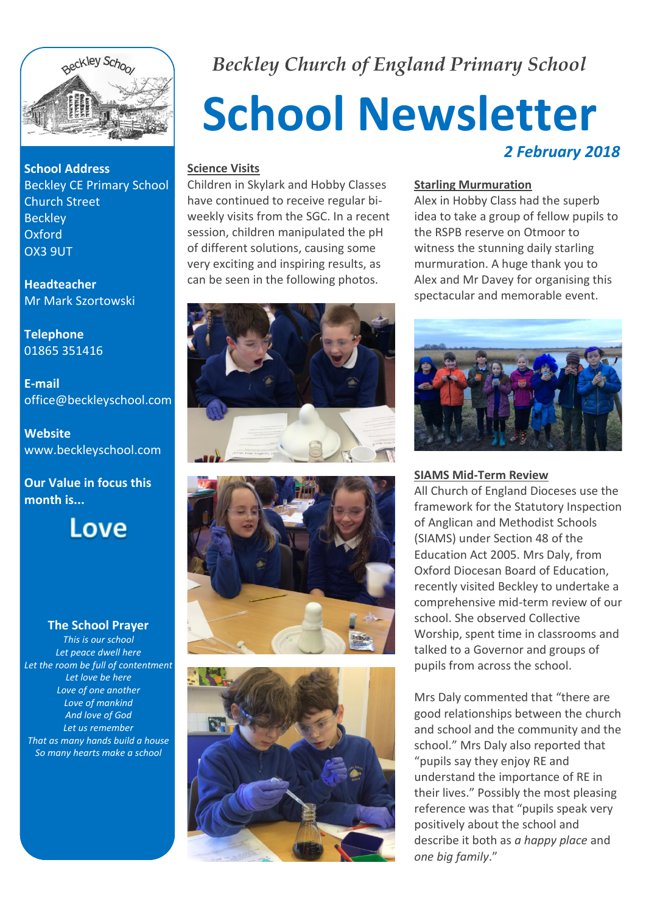

**School Address** Beckley CE Primary School Church Street **Beckley** Oxford OX3 9UT

**Headteacher** Mr Mark Szortowski

**Telephone** 01865 351416

**E-mail** office@beckleyschool.com

**Website** www.beckleyschool.com

**Our Value in focus this month is...**



#### **The School Prayer**

*This is our school Let peace dwell here Let the room be full of contentment Let love be here Love of one another Love of mankind And love of God Let us remember That as many hands build a house So many hearts make a school*

*Beckley Church of England Primary School*

# **School Newsletter** *2 February 2018*

#### **Science Visits**

Children in Skylark and Hobby Classes have continued to receive regular biweekly visits from the SGC. In a recent session, children manipulated the pH of different solutions, causing some very exciting and inspiring results, as can be seen in the following photos.

#### **Starling Murmuration**

Alex in Hobby Class had the superb idea to take a group of fellow pupils to the RSPB reserve on Otmoor to witness the stunning daily starling murmuration. A huge thank you to Alex and Mr Davey for organising this spectacular and memorable event.









#### **SIAMS Mid-Term Review**

All Church of England Dioceses use the framework for the Statutory Inspection of Anglican and Methodist Schools (SIAMS) under Section 48 of the Education Act 2005. Mrs Daly, from Oxford Diocesan Board of Education, recently visited Beckley to undertake a comprehensive mid-term review of our school. She observed Collective Worship, spent time in classrooms and talked to a Governor and groups of pupils from across the school.

Mrs Daly commented that "there are good relationships between the church and school and the community and the school." Mrs Daly also reported that "pupils say they enjoy RE and understand the importance of RE in their lives." Possibly the most pleasing reference was that "pupils speak very positively about the school and describe it both as *a happy place* and *one big family*."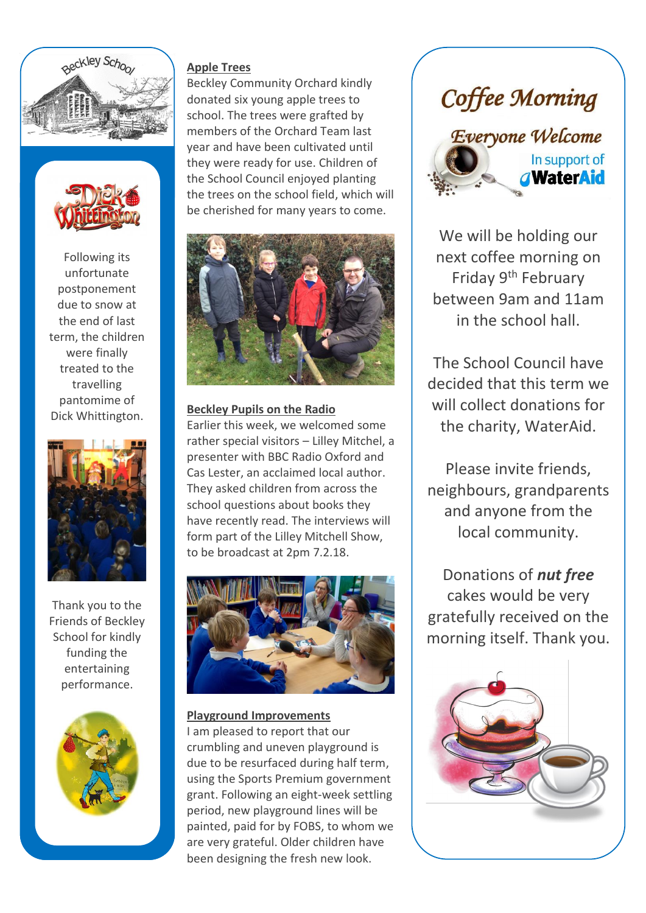



Following its unfortunate postponement due to snow at the end of last term, the children were finally treated to the travelling pantomime of Dick Whittington.



Thank you to the Friends of Beckley School for kindly funding the entertaining performance.



#### **Apple Trees**

Beckley Community Orchard kindly donated six young apple trees to school. The trees were grafted by members of the Orchard Team last year and have been cultivated until they were ready for use. Children of the School Council enjoyed planting the trees on the school field, which will be cherished for many years to come.



#### **Beckley Pupils on the Radio**

Earlier this week, we welcomed some rather special visitors – Lilley Mitchel, a presenter with BBC Radio Oxford and Cas Lester, an acclaimed local author. They asked children from across the school questions about books they have recently read. The interviews will form part of the Lilley Mitchell Show, to be broadcast at 2pm 7.2.18.



**Playground Improvements** I am pleased to report that our crumbling and uneven playground is due to be resurfaced during half term, using the Sports Premium government grant. Following an eight-week settling period, new playground lines will be painted, paid for by FOBS, to whom we are very grateful. Older children have been designing the fresh new look.



We will be holding our next coffee morning on Friday 9th February between 9am and 11am in the school hall.

The School Council have decided that this term we will collect donations for the charity, WaterAid.

Please invite friends, neighbours, grandparents and anyone from the local community.

Donations of *nut free* cakes would be very gratefully received on the morning itself. Thank you.